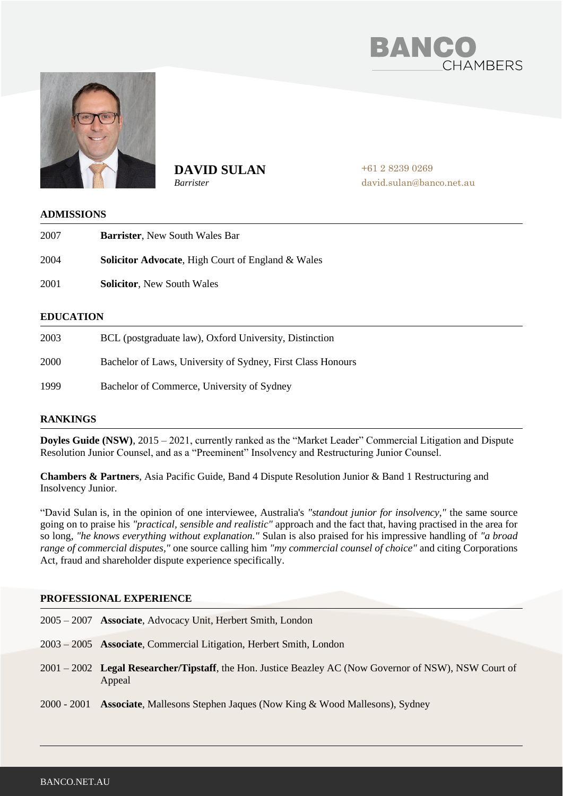



**DAVID SULAN** *Barrister*

+61 2 8239 0269 david.sulan@banco.net.au

#### **ADMISSIONS**

| 2007 | <b>Barrister, New South Wales Bar</b>                        |
|------|--------------------------------------------------------------|
| 2004 | <b>Solicitor Advocate, High Court of England &amp; Wales</b> |
| 2001 | <b>Solicitor, New South Wales</b>                            |

#### **EDUCATION**

| 2003        | BCL (postgraduate law), Oxford University, Distinction      |
|-------------|-------------------------------------------------------------|
| <b>2000</b> | Bachelor of Laws, University of Sydney, First Class Honours |
| 1999        | Bachelor of Commerce, University of Sydney                  |

### **RANKINGS**

**Doyles Guide (NSW)**, 2015 – 2021, currently ranked as the "Market Leader" Commercial Litigation and Dispute Resolution Junior Counsel, and as a "Preeminent" Insolvency and Restructuring Junior Counsel.

**Chambers & Partners**, Asia Pacific Guide, Band 4 Dispute Resolution Junior & Band 1 Restructuring and Insolvency Junior.

"David Sulan is, in the opinion of one interviewee, Australia's *"standout junior for insolvency,"* the same source going on to praise his *"practical, sensible and realistic"* approach and the fact that, having practised in the area for so long, *"he knows everything without explanation."* Sulan is also praised for his impressive handling of *"a broad range of commercial disputes,"* one source calling him *"my commercial counsel of choice"* and citing Corporations Act, fraud and shareholder dispute experience specifically.

#### **PROFESSIONAL EXPERIENCE**

| 2005 – 2007 Associate, Advocacy Unit, Herbert Smith, London         |
|---------------------------------------------------------------------|
| 2003 – 2005 Associate, Commercial Litigation, Herbert Smith, London |

- 2001 2002 **Legal Researcher/Tipstaff**, the Hon. Justice Beazley AC (Now Governor of NSW), NSW Court of Appeal
- 2000 2001 **Associate**, Mallesons Stephen Jaques (Now King & Wood Mallesons), Sydney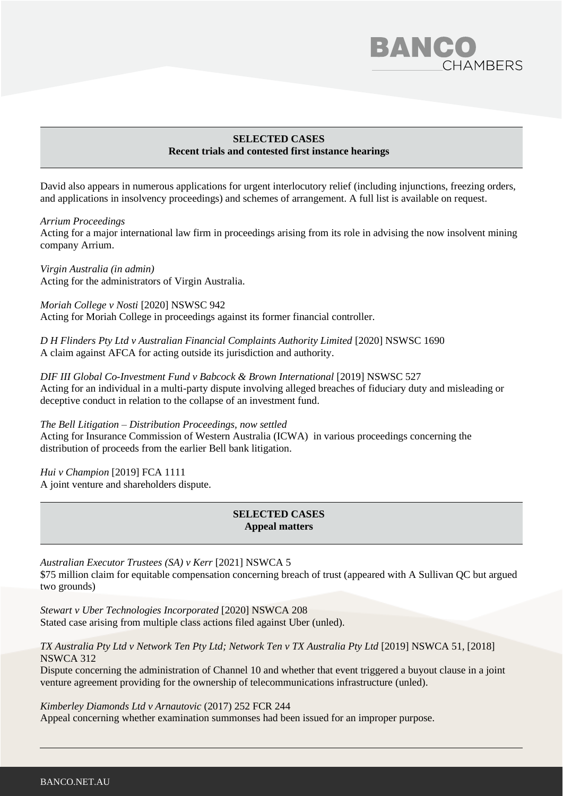

## **SELECTED CASES Recent trials and contested first instance hearings**

David also appears in numerous applications for urgent interlocutory relief (including injunctions, freezing orders, and applications in insolvency proceedings) and schemes of arrangement. A full list is available on request.

*Arrium Proceedings*

Acting for a major international law firm in proceedings arising from its role in advising the now insolvent mining company Arrium.

*Virgin Australia (in admin)* Acting for the administrators of Virgin Australia.

*Moriah College v Nosti* [2020] NSWSC 942 Acting for Moriah College in proceedings against its former financial controller.

*D H Flinders Pty Ltd v Australian Financial Complaints Authority Limited* [\[2020\] NSWSC 1690](https://www.caselaw.nsw.gov.au/decision/17602f1a9684c37967352e6f) A claim against AFCA for acting outside its jurisdiction and authority.

*DIF III Global Co-Investment Fund v Babcock & Brown International [2019] NSWSC 527* Acting for an individual in a multi-party dispute involving alleged breaches of fiduciary duty and misleading or deceptive conduct in relation to the collapse of an investment fund.

*The Bell Litigation – Distribution Proceedings, now settled* Acting for Insurance Commission of Western Australia (ICWA) in various proceedings concerning the distribution of proceeds from the earlier Bell bank litigation.

*Hui v Champion* [2019] FCA 1111 A joint venture and shareholders dispute.

# **SELECTED CASES Appeal matters**

*Australian Executor Trustees (SA) v Kerr* [2021] NSWCA 5 \$75 million claim for equitable compensation concerning breach of trust (appeared with A Sullivan QC but argued two grounds)

*Stewart v Uber Technologies Incorporated* [2020] NSWCA 208 Stated case arising from multiple class actions filed against Uber (unled).

*TX Australia Pty Ltd v Network Ten Pty Ltd; Network Ten v TX Australia Pty Ltd* [2019] NSWCA 51, [2018] NSWCA 312

Dispute concerning the administration of Channel 10 and whether that event triggered a buyout clause in a joint venture agreement providing for the ownership of telecommunications infrastructure (unled).

*Kimberley Diamonds Ltd v Arnautovic* (2017) 252 FCR 244

Appeal concerning whether examination summonses had been issued for an improper purpose.